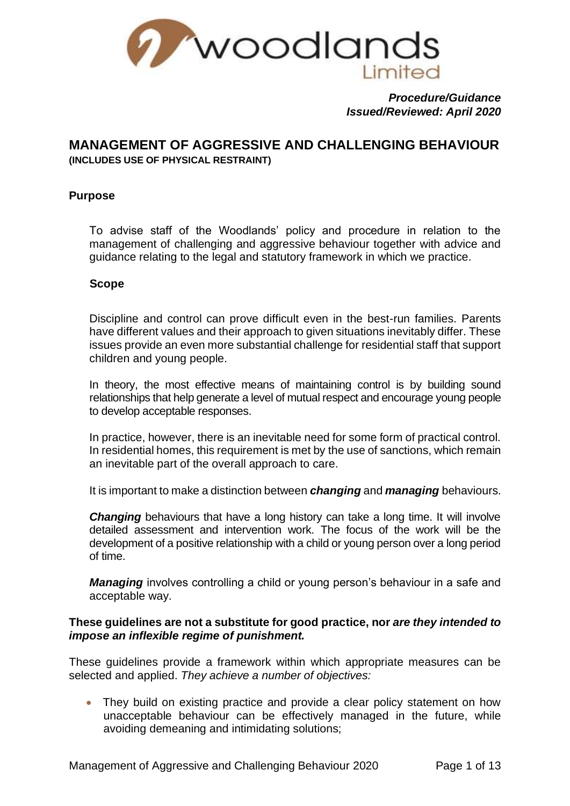

*Procedure/Guidance Issued/Reviewed: April 2020*

# **MANAGEMENT OF AGGRESSIVE AND CHALLENGING BEHAVIOUR**

**(INCLUDES USE OF PHYSICAL RESTRAINT)**

# **Purpose**

To advise staff of the Woodlands' policy and procedure in relation to the management of challenging and aggressive behaviour together with advice and guidance relating to the legal and statutory framework in which we practice.

## **Scope**

Discipline and control can prove difficult even in the best-run families. Parents have different values and their approach to given situations inevitably differ. These issues provide an even more substantial challenge for residential staff that support children and young people.

In theory, the most effective means of maintaining control is by building sound relationships that help generate a level of mutual respect and encourage young people to develop acceptable responses.

In practice, however, there is an inevitable need for some form of practical control. In residential homes, this requirement is met by the use of sanctions, which remain an inevitable part of the overall approach to care.

It is important to make a distinction between *changing* and *managing* behaviours.

*Changing* behaviours that have a long history can take a long time. It will involve detailed assessment and intervention work. The focus of the work will be the development of a positive relationship with a child or young person over a long period of time.

*Managing* involves controlling a child or young person's behaviour in a safe and acceptable way.

#### **These guidelines are not a substitute for good practice, nor** *are they intended to impose an inflexible regime of punishment.*

These guidelines provide a framework within which appropriate measures can be selected and applied. *They achieve a number of objectives:*

• They build on existing practice and provide a clear policy statement on how unacceptable behaviour can be effectively managed in the future, while avoiding demeaning and intimidating solutions;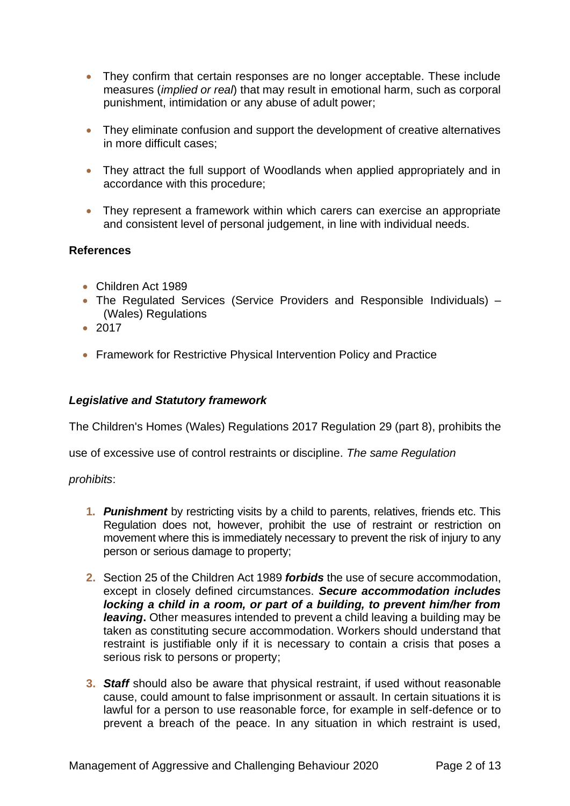- They confirm that certain responses are no longer acceptable. These include measures (*implied or real*) that may result in emotional harm, such as corporal punishment, intimidation or any abuse of adult power;
- They eliminate confusion and support the development of creative alternatives in more difficult cases;
- They attract the full support of Woodlands when applied appropriately and in accordance with this procedure;
- They represent a framework within which carers can exercise an appropriate and consistent level of personal judgement, in line with individual needs.

# **References**

- Children Act 1989
- The Regulated Services (Service Providers and Responsible Individuals) (Wales) Regulations
- 2017
- Framework for Restrictive Physical Intervention Policy and Practice

#### *Legislative and Statutory framework*

The Children's Homes (Wales) Regulations 2017 Regulation 29 (part 8), prohibits the

use of excessive use of control restraints or discipline. *The same Regulation* 

#### *prohibits*:

- **1.** *Punishment* by restricting visits by a child to parents, relatives, friends etc. This Regulation does not, however, prohibit the use of restraint or restriction on movement where this is immediately necessary to prevent the risk of injury to any person or serious damage to property;
- **2.** Section 25 of the Children Act 1989 *forbids* the use of secure accommodation, except in closely defined circumstances. *Secure accommodation includes locking a child in a room, or part of a building, to prevent him/her from leaving***.** Other measures intended to prevent a child leaving a building may be taken as constituting secure accommodation. Workers should understand that restraint is justifiable only if it is necessary to contain a crisis that poses a serious risk to persons or property;
- **3.** *Staff* should also be aware that physical restraint, if used without reasonable cause, could amount to false imprisonment or assault. In certain situations it is lawful for a person to use reasonable force, for example in self-defence or to prevent a breach of the peace. In any situation in which restraint is used,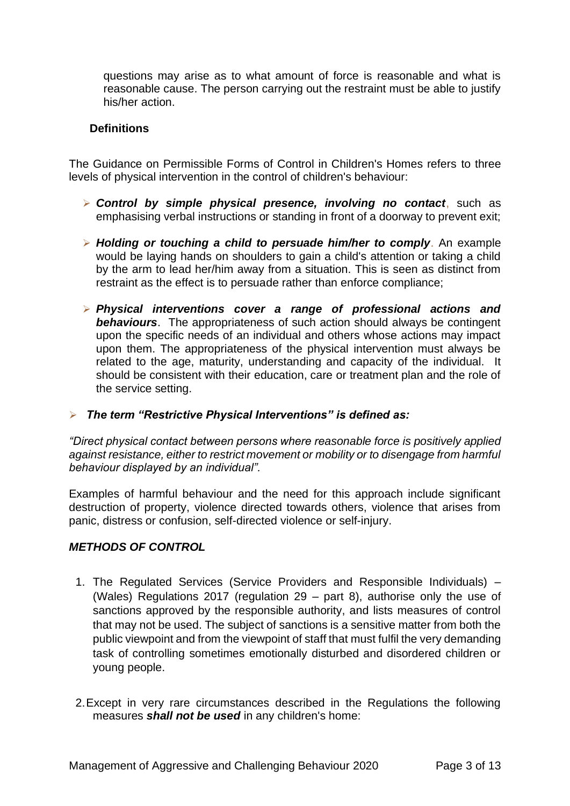questions may arise as to what amount of force is reasonable and what is reasonable cause. The person carrying out the restraint must be able to justify his/her action.

## **Definitions**

The Guidance on Permissible Forms of Control in Children's Homes refers to three levels of physical intervention in the control of children's behaviour:

- ➢ *Control by simple physical presence, involving no contact*, such as emphasising verbal instructions or standing in front of a doorway to prevent exit;
- ➢ *Holding or touching a child to persuade him/her to comply*. An example would be laying hands on shoulders to gain a child's attention or taking a child by the arm to lead her/him away from a situation. This is seen as distinct from restraint as the effect is to persuade rather than enforce compliance;
- ➢ *Physical interventions cover a range of professional actions and behaviours*. The appropriateness of such action should always be contingent upon the specific needs of an individual and others whose actions may impact upon them. The appropriateness of the physical intervention must always be related to the age, maturity, understanding and capacity of the individual. It should be consistent with their education, care or treatment plan and the role of the service setting.

#### ➢ *The term "Restrictive Physical Interventions" is defined as:*

*"Direct physical contact between persons where reasonable force is positively applied against resistance, either to restrict movement or mobility or to disengage from harmful behaviour displayed by an individual".*

Examples of harmful behaviour and the need for this approach include significant destruction of property, violence directed towards others, violence that arises from panic, distress or confusion, self-directed violence or self-injury.

#### *METHODS OF CONTROL*

- 1. The Regulated Services (Service Providers and Responsible Individuals) (Wales) Regulations 2017 (regulation 29 – part 8), authorise only the use of sanctions approved by the responsible authority, and lists measures of control that may not be used. The subject of sanctions is a sensitive matter from both the public viewpoint and from the viewpoint of staff that must fulfil the very demanding task of controlling sometimes emotionally disturbed and disordered children or young people.
- 2.Except in very rare circumstances described in the Regulations the following measures *shall not be used* in any children's home: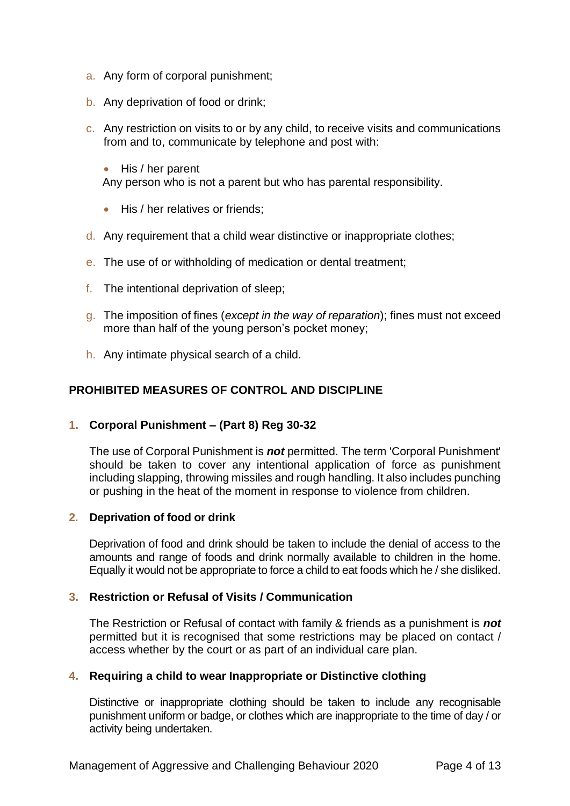- a. Any form of corporal punishment;
- b. Any deprivation of food or drink;
- c. Any restriction on visits to or by any child, to receive visits and communications from and to, communicate by telephone and post with:
	- His / her parent Any person who is not a parent but who has parental responsibility.
	- His / her relatives or friends:
- d. Any requirement that a child wear distinctive or inappropriate clothes;
- e. The use of or withholding of medication or dental treatment;
- f. The intentional deprivation of sleep;
- g. The imposition of fines (*except in the way of reparation*); fines must not exceed more than half of the young person's pocket money;
- h. Any intimate physical search of a child.

## **PROHIBITED MEASURES OF CONTROL AND DISCIPLINE**

## **1. Corporal Punishment – (Part 8) Reg 30-32**

The use of Corporal Punishment is *not* permitted. The term 'Corporal Punishment' should be taken to cover any intentional application of force as punishment including slapping, throwing missiles and rough handling. It also includes punching or pushing in the heat of the moment in response to violence from children.

#### **2. Deprivation of food or drink**

Deprivation of food and drink should be taken to include the denial of access to the amounts and range of foods and drink normally available to children in the home. Equally it would not be appropriate to force a child to eat foods which he / she disliked.

## **3. Restriction or Refusal of Visits / Communication**

The Restriction or Refusal of contact with family & friends as a punishment is *not* permitted but it is recognised that some restrictions may be placed on contact / access whether by the court or as part of an individual care plan.

#### **4. Requiring a child to wear Inappropriate or Distinctive clothing**

Distinctive or inappropriate clothing should be taken to include any recognisable punishment uniform or badge, or clothes which are inappropriate to the time of day / or activity being undertaken.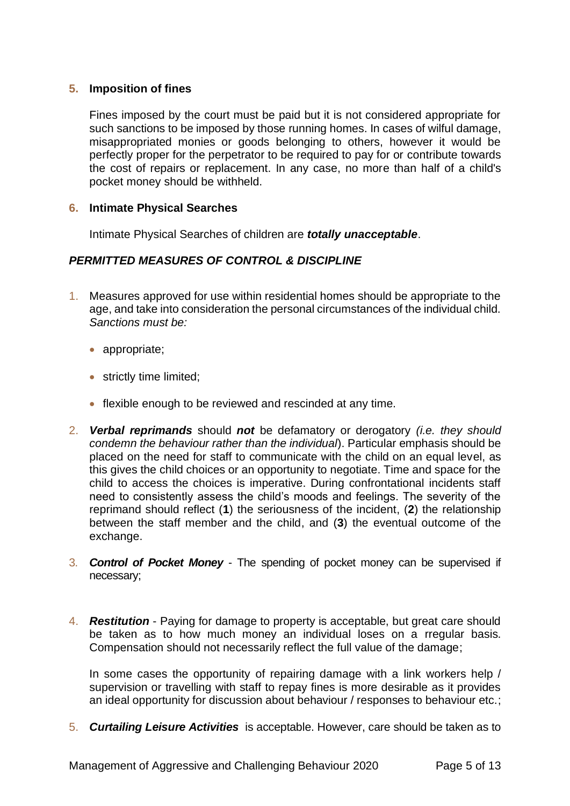## **5. Imposition of fines**

Fines imposed by the court must be paid but it is not considered appropriate for such sanctions to be imposed by those running homes. In cases of wilful damage, misappropriated monies or goods belonging to others, however it would be perfectly proper for the perpetrator to be required to pay for or contribute towards the cost of repairs or replacement. In any case, no more than half of a child's pocket money should be withheld.

#### **6. Intimate Physical Searches**

Intimate Physical Searches of children are *totally unacceptable*.

# *PERMITTED MEASURES OF CONTROL & DISCIPLINE*

- 1. Measures approved for use within residential homes should be appropriate to the age, and take into consideration the personal circumstances of the individual child. *Sanctions must be:*
	- appropriate;
	- strictly time limited:
	- flexible enough to be reviewed and rescinded at any time.
- 2. *Verbal reprimands* should *not* be defamatory or derogatory *(i.e. they should condemn the behaviour rather than the individual*). Particular emphasis should be placed on the need for staff to communicate with the child on an equal level, as this gives the child choices or an opportunity to negotiate. Time and space for the child to access the choices is imperative. During confrontational incidents staff need to consistently assess the child's moods and feelings. The severity of the reprimand should reflect (**1**) the seriousness of the incident, (**2**) the relationship between the staff member and the child, and (**3**) the eventual outcome of the exchange.
- 3. *Control of Pocket Money* The spending of pocket money can be supervised if necessary;
- 4. *Restitution* Paying for damage to property is acceptable, but great care should be taken as to how much money an individual loses on a rregular basis. Compensation should not necessarily reflect the full value of the damage;

In some cases the opportunity of repairing damage with a link workers help / supervision or travelling with staff to repay fines is more desirable as it provides an ideal opportunity for discussion about behaviour / responses to behaviour etc.;

5. *Curtailing Leisure Activities* is acceptable. However, care should be taken as to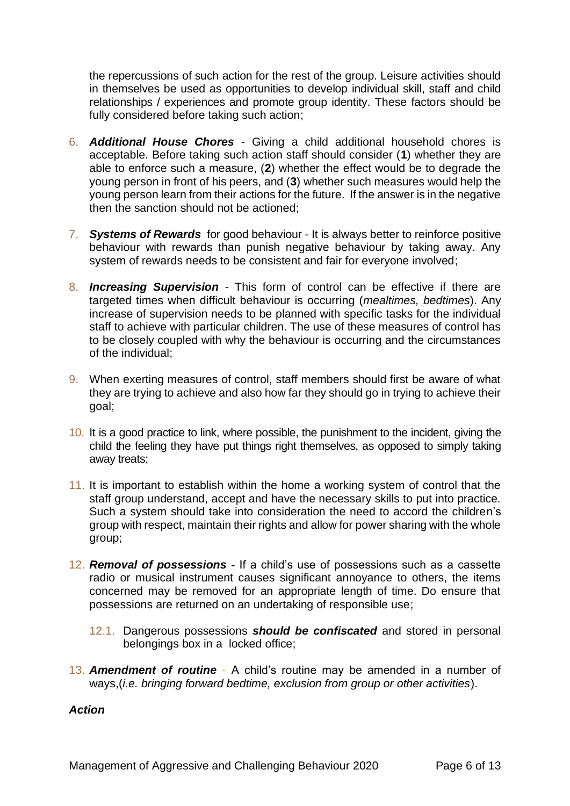the repercussions of such action for the rest of the group. Leisure activities should in themselves be used as opportunities to develop individual skill, staff and child relationships / experiences and promote group identity. These factors should be fully considered before taking such action;

- 6. *Additional House Chores* Giving a child additional household chores is acceptable. Before taking such action staff should consider (**1**) whether they are able to enforce such a measure, (**2**) whether the effect would be to degrade the young person in front of his peers, and (**3**) whether such measures would help the young person learn from their actions for the future. If the answer is in the negative then the sanction should not be actioned;
- 7. *Systems of Rewards* for good behaviour It is always better to reinforce positive behaviour with rewards than punish negative behaviour by taking away. Any system of rewards needs to be consistent and fair for everyone involved;
- 8. *Increasing Supervision* This form of control can be effective if there are targeted times when difficult behaviour is occurring (*mealtimes, bedtimes*). Any increase of supervision needs to be planned with specific tasks for the individual staff to achieve with particular children. The use of these measures of control has to be closely coupled with why the behaviour is occurring and the circumstances of the individual;
- 9. When exerting measures of control, staff members should first be aware of what they are trying to achieve and also how far they should go in trying to achieve their goal;
- 10. It is a good practice to link, where possible, the punishment to the incident, giving the child the feeling they have put things right themselves, as opposed to simply taking away treats;
- 11. It is important to establish within the home a working system of control that the staff group understand, accept and have the necessary skills to put into practice. Such a system should take into consideration the need to accord the children's group with respect, maintain their rights and allow for power sharing with the whole group;
- 12. *Removal of possessions* **-** If a child's use of possessions such as a cassette radio or musical instrument causes significant annoyance to others, the items concerned may be removed for an appropriate length of time. Do ensure that possessions are returned on an undertaking of responsible use;
	- 12.1. Dangerous possessions *should be confiscated* and stored in personal belongings box in a locked office;
- 13. *Amendment of routine* A child's routine may be amended in a number of ways,(*i.e. bringing forward bedtime, exclusion from group or other activities*).

## *Action*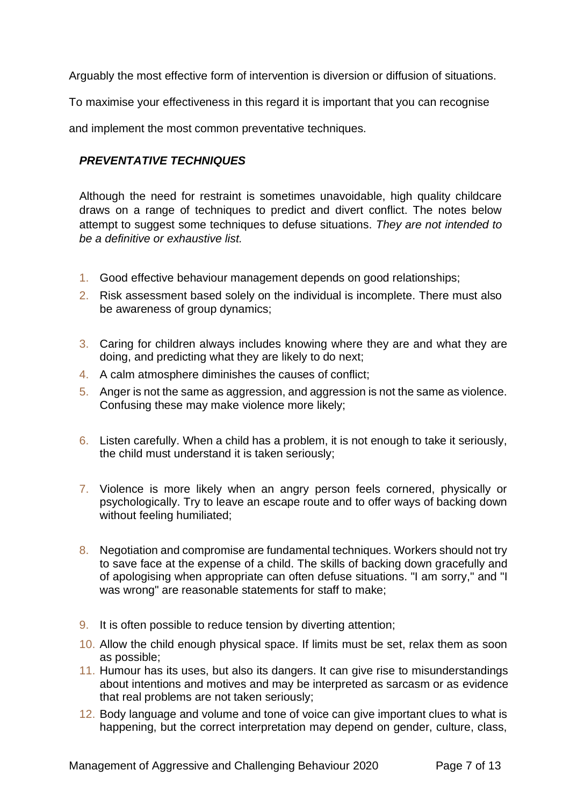Arguably the most effective form of intervention is diversion or diffusion of situations.

To maximise your effectiveness in this regard it is important that you can recognise

and implement the most common preventative techniques.

# *PREVENTATIVE TECHNIQUES*

Although the need for restraint is sometimes unavoidable, high quality childcare draws on a range of techniques to predict and divert conflict. The notes below attempt to suggest some techniques to defuse situations. *They are not intended to be a definitive or exhaustive list.*

- 1. Good effective behaviour management depends on good relationships;
- 2. Risk assessment based solely on the individual is incomplete. There must also be awareness of group dynamics;
- 3. Caring for children always includes knowing where they are and what they are doing, and predicting what they are likely to do next;
- 4. A calm atmosphere diminishes the causes of conflict;
- 5. Anger is not the same as aggression, and aggression is not the same as violence. Confusing these may make violence more likely;
- 6. Listen carefully. When a child has a problem, it is not enough to take it seriously, the child must understand it is taken seriously;
- 7. Violence is more likely when an angry person feels cornered, physically or psychologically. Try to leave an escape route and to offer ways of backing down without feeling humiliated;
- 8. Negotiation and compromise are fundamental techniques. Workers should not try to save face at the expense of a child. The skills of backing down gracefully and of apologising when appropriate can often defuse situations. "I am sorry," and "I was wrong" are reasonable statements for staff to make;
- 9. It is often possible to reduce tension by diverting attention;
- 10. Allow the child enough physical space. If limits must be set, relax them as soon as possible;
- 11. Humour has its uses, but also its dangers. It can give rise to misunderstandings about intentions and motives and may be interpreted as sarcasm or as evidence that real problems are not taken seriously;
- 12. Body language and volume and tone of voice can give important clues to what is happening, but the correct interpretation may depend on gender, culture, class,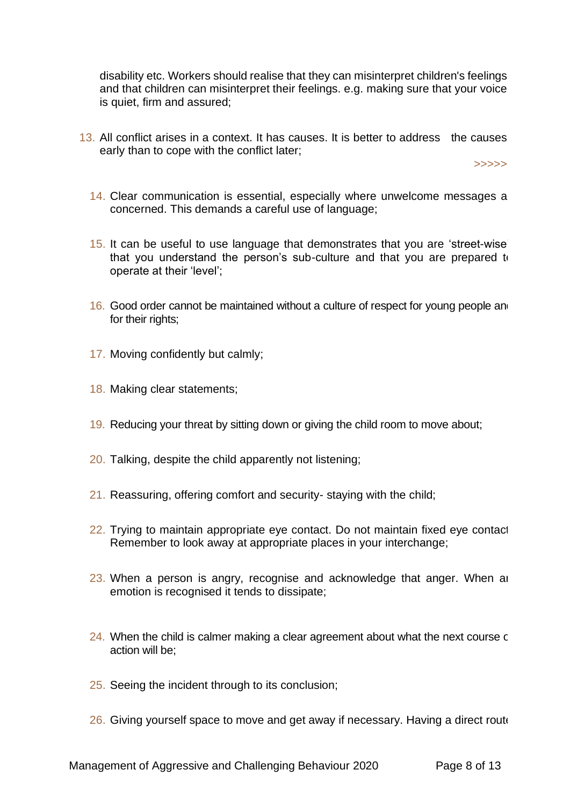disability etc. Workers should realise that they can misinterpret children's feelings and that children can misinterpret their feelings. e.g. making sure that your voice is quiet, firm and assured;

13. All conflict arises in a context. It has causes. It is better to address the causes early than to cope with the conflict later;

>>>>>

- 14. Clear communication is essential, especially where unwelcome messages a concerned. This demands a careful use of language;
- 15. It can be useful to use language that demonstrates that you are 'street-wise', that you understand the person's sub-culture and that you are prepared to operate at their 'level';
- 16. Good order cannot be maintained without a culture of respect for young people and for their rights;
- 17. Moving confidently but calmly;
- 18. Making clear statements;
- 19. Reducing your threat by sitting down or giving the child room to move about;
- 20. Talking, despite the child apparently not listening;
- 21. Reassuring, offering comfort and security- staying with the child;
- 22. Trying to maintain appropriate eye contact. Do not maintain fixed eye contact Remember to look away at appropriate places in your interchange;
- 23. When a person is angry, recognise and acknowledge that anger. When an emotion is recognised it tends to dissipate;
- $24.$  When the child is calmer making a clear agreement about what the next course c action will be;
- 25. Seeing the incident through to its conclusion;
- 26. Giving yourself space to move and get away if necessary. Having a direct route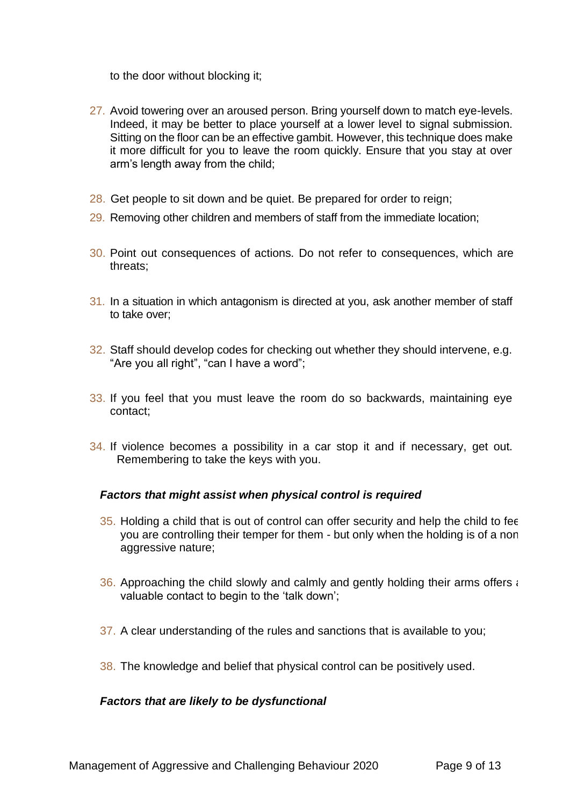to the door without blocking it;

- 27. Avoid towering over an aroused person. Bring yourself down to match eye-levels. Indeed, it may be better to place yourself at a lower level to signal submission. Sitting on the floor can be an effective gambit. However, this technique does make it more difficult for you to leave the room quickly. Ensure that you stay at over arm's length away from the child;
- 28. Get people to sit down and be quiet. Be prepared for order to reign;
- 29. Removing other children and members of staff from the immediate location;
- 30. Point out consequences of actions. Do not refer to consequences, which are threats;
- 31. In a situation in which antagonism is directed at you, ask another member of staff to take over;
- 32. Staff should develop codes for checking out whether they should intervene, e.g. "Are you all right", "can I have a word":
- 33. If you feel that you must leave the room do so backwards, maintaining eye contact;
- 34. If violence becomes a possibility in a car stop it and if necessary, get out. Remembering to take the keys with you.

## *Factors that might assist when physical control is required*

- 35. Holding a child that is out of control can offer security and help the child to fee you are controlling their temper for them - but only when the holding is of a nonaggressive nature;
- 36. Approaching the child slowly and calmly and gently holding their arms offers  $\epsilon$ valuable contact to begin to the 'talk down';
- 37. A clear understanding of the rules and sanctions that is available to you;
- 38. The knowledge and belief that physical control can be positively used.

## *Factors that are likely to be dysfunctional*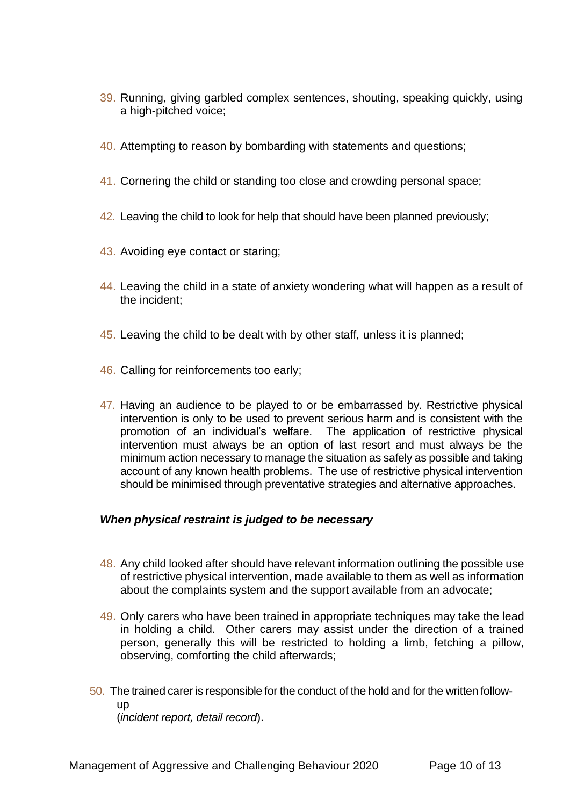- 39. Running, giving garbled complex sentences, shouting, speaking quickly, using a high-pitched voice;
- 40. Attempting to reason by bombarding with statements and questions;
- 41. Cornering the child or standing too close and crowding personal space;
- 42. Leaving the child to look for help that should have been planned previously;
- 43. Avoiding eye contact or staring;
- 44. Leaving the child in a state of anxiety wondering what will happen as a result of the incident;
- 45. Leaving the child to be dealt with by other staff, unless it is planned;
- 46. Calling for reinforcements too early;
- 47. Having an audience to be played to or be embarrassed by. Restrictive physical intervention is only to be used to prevent serious harm and is consistent with the promotion of an individual's welfare. The application of restrictive physical intervention must always be an option of last resort and must always be the minimum action necessary to manage the situation as safely as possible and taking account of any known health problems. The use of restrictive physical intervention should be minimised through preventative strategies and alternative approaches.

# *When physical restraint is judged to be necessary*

- 48. Any child looked after should have relevant information outlining the possible use of restrictive physical intervention, made available to them as well as information about the complaints system and the support available from an advocate;
- 49. Only carers who have been trained in appropriate techniques may take the lead in holding a child. Other carers may assist under the direction of a trained person, generally this will be restricted to holding a limb, fetching a pillow, observing, comforting the child afterwards;
- 50. The trained carer is responsible for the conduct of the hold and for the written followup (*incident report, detail record*).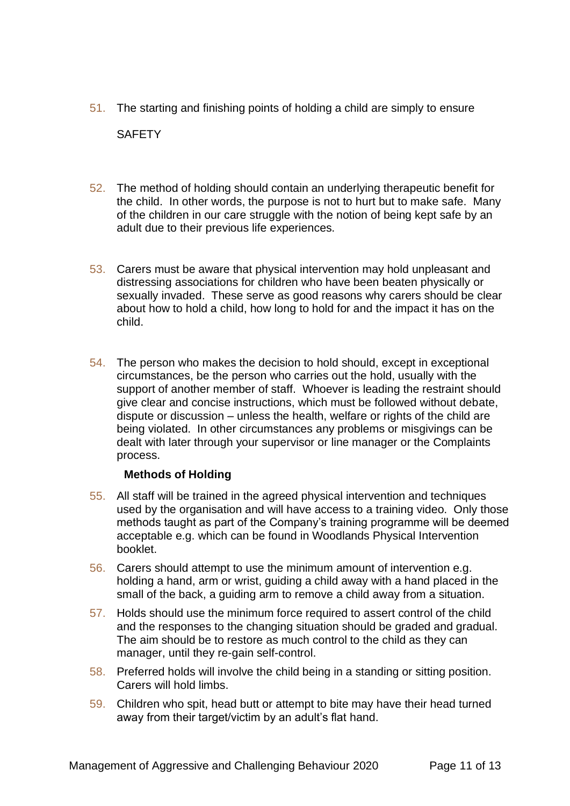- 51. The starting and finishing points of holding a child are simply to ensure **SAFFTY**
- 52. The method of holding should contain an underlying therapeutic benefit for the child. In other words, the purpose is not to hurt but to make safe. Many of the children in our care struggle with the notion of being kept safe by an adult due to their previous life experiences.
- 53. Carers must be aware that physical intervention may hold unpleasant and distressing associations for children who have been beaten physically or sexually invaded. These serve as good reasons why carers should be clear about how to hold a child, how long to hold for and the impact it has on the child.
- 54. The person who makes the decision to hold should, except in exceptional circumstances, be the person who carries out the hold, usually with the support of another member of staff. Whoever is leading the restraint should give clear and concise instructions, which must be followed without debate, dispute or discussion – unless the health, welfare or rights of the child are being violated. In other circumstances any problems or misgivings can be dealt with later through your supervisor or line manager or the Complaints process.

## **Methods of Holding**

- 55. All staff will be trained in the agreed physical intervention and techniques used by the organisation and will have access to a training video. Only those methods taught as part of the Company's training programme will be deemed acceptable e.g. which can be found in Woodlands Physical Intervention booklet.
- 56. Carers should attempt to use the minimum amount of intervention e.g. holding a hand, arm or wrist, guiding a child away with a hand placed in the small of the back, a guiding arm to remove a child away from a situation.
- 57. Holds should use the minimum force required to assert control of the child and the responses to the changing situation should be graded and gradual. The aim should be to restore as much control to the child as they can manager, until they re-gain self-control.
- 58. Preferred holds will involve the child being in a standing or sitting position. Carers will hold limbs.
- 59. Children who spit, head butt or attempt to bite may have their head turned away from their target/victim by an adult's flat hand.